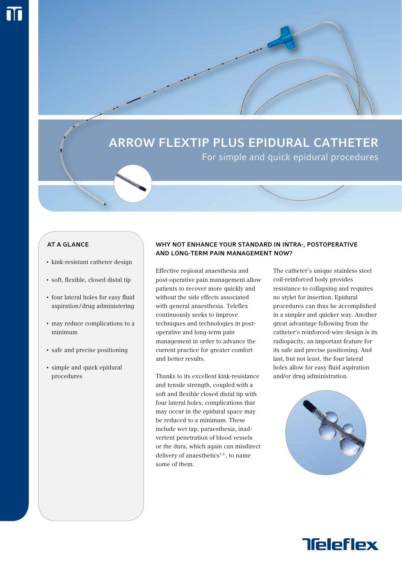# Arrow FlexTip Plus Epidural Catheter

For simple and quick epidural procedures

## **AT A GLANCE**

- kink-resistant catheter design
- soft, flexible, closed distal tip
- four lateral holes for easy fluid aspiration/drug administering
- may reduce complications to a minimum
- safe and precise positioning
- simple and quick epidural procedures

# Why not enhance your standard in Intra-, postoperative and long-term pain management now?

Effective regional anaesthesia and post-operative pain management allow patients to recover more quickly and without the side effects associated with general anaesthesia. Teleflex continuously seeks to improve techniques and technologies in postoperative and long-term pain management in order to advance the current practice for greater comfort and better results.

Thanks to its excellent kink-resistance and tensile strength, coupled with a soft and flexible closed distal tip with four lateral holes, complications that may occur in the epidural space may be reduced to a minimum. These include wet tap, paraesthesia, inadvertent penetration of blood vessels or the dura, which again can misdirect delivery of anaesthetics<sup>1.2</sup>, to name some of them.

The catheter's unique stainless steel coil-reinforced body provides resistance to collapsing and requires no stylet for insertion. Epidural procedures can thus be accomplished in a simpler and quicker way. Another great advantage following from the catheter's reinforced-wire design is its radiopacity, an important feature for its safe and precise positioning. And last, but not least, the four lateral holes allow for easy fluid aspiration and/or drug administration.